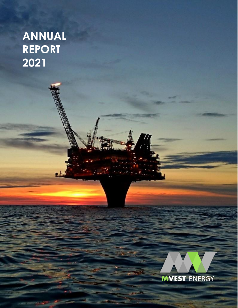# **ANNUAL REPORT 2021**



Page 1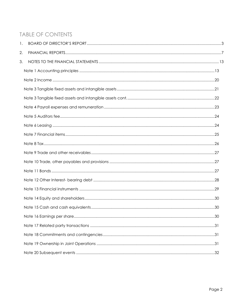# **TABLE OF CONTENTS**

| 1. |  |
|----|--|
| 2. |  |
| 3. |  |
|    |  |
|    |  |
|    |  |
|    |  |
|    |  |
|    |  |
|    |  |
|    |  |
|    |  |
|    |  |
|    |  |
|    |  |
|    |  |
|    |  |
|    |  |
|    |  |
|    |  |
|    |  |
|    |  |
|    |  |
|    |  |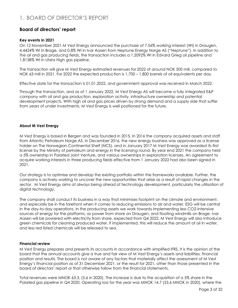# <span id="page-2-0"></span>1. BOARD OF DIRECTOR'S REPORT

# **Board of directors' report**

#### **Key events in 2021**

On 12 November 2021 M Vest Energy announced the purchase of 7.56% working interest (WI) in Draugen, 4.4424% WI in Brage, and 0.8% WI in Ivar Aasen from Neptune Energy Norge AS ("Neptune"). In addition to the oil and gas producing fields, the transaction includes a 1.2092% WI in Edvard Grieg oil pipeline and 1.8138% WI in Utsira High gas pipeline.

The transaction will give M Vest Energy estimated revenues for 2022 of around NOK 500 mill, compared to NOK 63 mill in 2021. For 2022 the expected production is 1,700 – 1,800 barrels of oil equivalents per day.

Effective date for the transaction is 01.01.2022, and government approval was received in March 2022.

Through the transaction, and as of 1 January 2022, M Vest Energy AS will become a fully integrated E&P company with oil and gas production, exploration activity, infrastructure ownership and potential development projects. With high oil and gas prices driven by strong demand and a supply side that suffer from years of under investments, M Vest Energy is well positioned for the future.

#### **About M Vest Energy**

M Vest Energy is based in Bergen and was founded in 2015. In 2016 the company acquired assets and staff from Atlantic Petroleum Norge AS. In December 2016, the new energy business was approved as a license holder on The Norwegian Continental Shelf (NCS), and in January 2017 M Vest Energy was awarded its first license by the Ministry of petroleum and energy in the licensing round. By year end 2021 the company held a 5% ownership in Polarled Joint Venture, and various ownerships in exploration licenses. An agreement to acquire working interests in three producing fields effective from 1 January 2022 had also been signed in 2021.

Our strategy is to optimise and develop the existing portfolio within the frameworks available. Further, the company is actively working to uncover the new opportunities that arise as a result of rapid changes in the sector. M Vest Energy aims at always being ahead of technology development, particularly the utilisation of digital technology.

The company shall conduct its business in a way that minimises footprint on the climate and environment, and especially be in the forefront when it comes to reducing emissions to air and water. ESG will be central in the day-to-day operations. In the producing assets we work towards implementing less CO2-intensive sources of energy for the platforms, as power from shore on Draugen, and floating windmills on Brage. Ivar Aasen will be powered with electricity from shore, expected from Q4 2022. M Vest Energy will also introduce green chemicals for cleaning produced water. If implemented, this will reduce the amount of oil in water, and less red listed chemicals will be released to sea.

#### **Financial review**

M Vest Energy prepares and presents its accounts in accordance with simplified IFRS. It is the opinion of the board that the annual accounts give a true and fair view of M Vest Energy's assets and liabilities, financial position and results. The board is not aware of any factors that materially affect the assessment of M Vest Energy's financial position as of 31 December 2021, or the result for 2021, other than those presented in the board of directors' report or that otherwise follow from the financial statements.

Total revenues were MNOK 63.3, (5.6 in 2020). The increase is due to the acquisition of a 5% share in the Polarled gas pipeline in Q4 2020. Operating loss for the year was MNOK 14.7 (53.6 MNOK in 2020), where the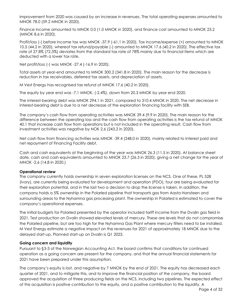improvement from 2020 was caused by an increase in revenues. The total operating expenses amounted to MNOK 78.0 (59.2 MNOK in 2020).

Finance income amounted to MNOK 0.0 (1.0 MNOK in 2020), and finance cost amounted to MNOK 23.2 (MNOK 8.6 in 2020).

Profit/loss (-) before income tax was MNOK -37,9 (-61,1 in 2020). Tax income/expense (+) amounted to MNOK 10.5 (44.2 in 2020), whereof tax refund/payable (-) amounted to MNOK 17.6 (40.2 in 2020). The effective tax rate of 27.8% (72.3%) deviates from the standard tax rate of 78% mainly due to financial items which are deducted with a lower tax rate.

Net profit/loss (-) was MNOK -27.4 (-16.9 in 2020).

Total assets at year-end amounted to MNOK 300.2 (341.8 in 2020). The main reason for the decrease is reduction in tax receivables, deferred tax assets, and depreciation of assets.

M Vest Energy has recognised tax refund of MNOK 17.6 (40.2 in 2020).

The equity by year end was -7.1 MNOK, (-2.4%), down from 20.3 MNOK by year end 2020.

The interest-bearing debt was MNOK 294.1 in 2021, compared to 310.4 MNOK in 2020. The net decrease in interest-bearing debt is due to a net decrease of the exploration financing facility with SEB.

The company's cash flow from operating activities was MNOK 39.4 (9.9 in 2020). The main reason for the difference between the operating loss and the cash flow from operating activities is the tax refund of MNOK 40.1 that increase cash flow from operations but is not included in the operating result. Cash flow from investment activities was negative by NOK 2.6 (243.2 in 2020).

Net cash flow from financing activities was MNOK -39.4 (248.0 in 2020), mainly related to interest paid and net repayment of Financing Facility debt.

Cash and cash equivalents at the beginning of the year was MNOK 26.3 (11.5 in 2020). At balance sheet date, cash and cash equivalents amounted to MNOK 23.7 (26.3 in 2020), giving a net change for the year of MNOK -2.6 (14.8 in 2020.)

#### **Operational review**

The company currently holds ownership in seven exploration licenses on the NCS. One of these, PL 528 (Ivory), are currently being evaluated for development and operation (PDO), four are being evaluated for their exploration potential, and in the last two a decision to drop the license is taken. In addition, the company holds a 5% ownership in the Polarled pipeline that transports gas from Aasta Hansteen and surrounding areas to the Nyhamna gas processing plant. The ownership in Polarled is estimated to cover the company's operational expenses.

The initial budgets for Polarled presented by the operator included tariff income from the Dvalin gas field in 2021. Test production on Dvalin showed elevated levels of mercury. These are levels that do not compromise the Polarled pipeline, but are too high for the Nyhamna Gas Plant where mercury filters need to be installed. M Vest Energy estimate a negative impact on the revenues for 2021 of approximately 18 MNOK due to the delayed start-up. Planned start-up on Dvalin is Q1 2023.

#### **Going concern and liquidity**

Pursuant to §3-3 of the Norwegian Accounting Act, the board confirms that conditions for continued operation as a going concern are present for the company, and that the annual financial statements for 2021 have been prepared under this assumption.

The company's equity is lost, and negative by 7 MNOK by the end of 2021. The equity has decreased each quarter of 2021, and to mitigate this, and to improve the financial position of the company, the board approved the acquisition of three producing fields on the NCS, including two pipelines. The expected effect of this acquisition is positive contribution to the equity, and a positive contribution to the liquidity. A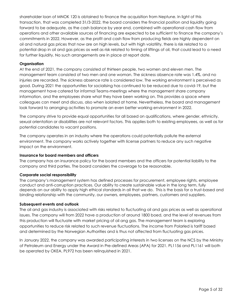shareholder loan of MNOK 120 is obtained to finance the acquisition from Neptune. In light of this transaction, that was completed 31/3-2022, the board considers the financial position and liquidity going forward to be adequate, as the cash balance by year end, combined with operational cash flow from operations and other available sources of financing are expected to be sufficient to finance the company's commitments in 2022. However, as the profit and cash flow from producing fields are highly dependent on oil and natural gas prices that now are on high levels, but with high volatility, there is risk related to a potential drop in oil and gas prices as well as risk related to timing of liftings of oil, that could lead to a need for further liquidity. No such arrangements are in place at report date.

#### **Organisation**

At the end of 2021, the company consisted of thirteen people, two women and eleven men. The management team consisted of two men and one woman. The sickness absence rate was 1.4%, and no injuries are recorded. The sickness absence rate is considered low. The working environment is perceived as good. During 2021 the opportunities for socialising has continued to be reduced due to covid-19, but the management have catered for informal Teams-meetings where the management share company information, and the employees share what they have been working on. This provides a space where colleagues can meet and discuss, also when isolated at home. Nevertheless, the board and management look forward to arranging activities to promote an even better working environment in 2022.

The company strive to provide equal opportunities for all based on qualifications, where gender, ethnicity, sexual orientation or disabilities are not relevant factors. This applies both to existing employees, as well as for potential candidates to vacant positions.

The company operates in an industry where the operations could potentially pollute the external environment. The company works actively together with license partners to reduce any such negative impact on the environment.

#### **Insurance for board members and officers**

The company has an insurance policy for the board members and the officers for potential liability to the company and third parties. The board considers the coverage to be reasonable.

#### **Corporate social responsibility**

The company's management system has defined processes for procurement, employee rights, employee conduct and anti-corruption practices. Our ability to create sustainable value in the long term, fully depends on our ability to apply high ethical standards in all that we do. This is the basis for a trust-based and binding relationship with the community, our owners, employees, partners, customers and suppliers.

#### **Subsequent events and outlook**

The oil and gas industry is associated with risks related to fluctuating oil and gas prices as well as operational issues. The company will from 2022 have a production of around 1800 boed, and the level of revenues from this production will fluctuate with market pricing of oil ang gas. The management team is exploring opportunities to reduce risk related to such revenue fluctuations. The income from Polarled is tariff based and determined by the Norwegian Authorities and is thus not affected from fluctuating gas prices.

In January 2022, the company was awarded participating interests in two licenses on the NCS by the Ministry of Petroleum and Energy under the Award in Pre-defined Areas (APA) for 2021. PL1156 and PL1161 will both be operated by OKEA. PL972 has been relinquished in 2021.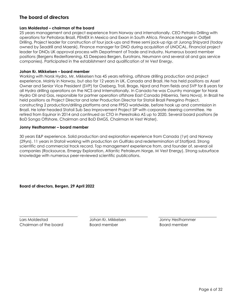# **The board of directors**

#### **Lars Moldestad – chairman of the board**

25 years management and project experience from Norway and internationally. CEO Petrolia Drilling with operations for Petrobras Brazil, PEMEX in Mexico and Exxon in South Africa. Finance Manager in Odfjell Drilling. Project leader for construction of four jack-ups and three semi jack-up rigs at Jurong Shipyard (today owned by Seadrill and Maersk). Finance manager for DNO during acquisition of UNOCAL. Financial project leader for DNOs UK approval process with Department of Trade and Industry. Numerous board member positions (Bergens Rederiforening, KS Deepsea Bergen, Eurotrans, Neumann and several oil and gas service companies). Participated in the establishment and qualification of M Vest Energy.

#### **Johan Kr. Mikkelsen – board member**

Working with Norsk Hydro, Mr. Mikkelsen has 45 years refining, offshore drilling production and project experience. Mainly in Norway, but also for 12 years in UK, Canada and Brazil. He has held positions as Asset Owner and Senior Vice President (SVP) for Oseberg, Troll, Brage, Njord and Fram fields and SVP for 8 years for all Hydro drilling operations on the NCS and Internationally. In Canada he was Country manager for Norsk Hydro Oil and Gas, responsible for partner operation offshore East Canada (Hibernia, Terra Nova). In Brazil he held positions as Project Director and later Production Director for Statoil Brazil Peregrino Project, constructing 2 production/drilling platforms and one FPSO worldwide, before hook up and commission in Brazil. He later headed Statoil Sub Sea Improvement Project SIP with corporate steering committee. He retired from Equinor in 2014 and continued as CTO in Perestroika AS up to 2020. Several board positions (ie BoD Songa Offshore, Chairman and BoD EMGS, Chairman M Vest Water).

#### **Jonny Hesthammer – board member**

30 years E&P experience. Solid production and exploration experience from Canada (1yr) and Norway (29yrs). 11 years in Statoil working with production on Gullfaks and redetermination of Statfjord. Strong scientific and commercial track record. Top management experience from, and founder of, several oil companies (Rocksource, Emergy Exploration, Atlantic Petroleum Norge, M Vest Energy). Strong subsurface knowledge with numerous peer-reviewed scientific publications.

**Board of directors, Bergen, 29 April 2022**

Lars Moldestad Johan Kr. Mikkelsen Jonny Hesthammer Chairman of the board Board member Board member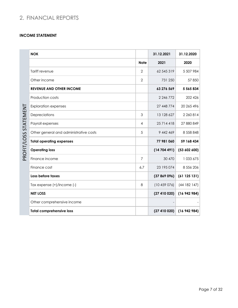# <span id="page-6-0"></span>2. FINANCIAL REPORTS

#### **INCOME STATEMENT**

|             | <b>NOK</b>                             |                | 31.12.2021    | 31.12.2020 |
|-------------|----------------------------------------|----------------|---------------|------------|
|             |                                        | <b>Note</b>    | 2021          | 2020       |
|             | Tariff revenue                         | $\overline{2}$ | 62 545 319    | 5 507 984  |
|             | Other income                           | $\overline{2}$ | 731 250       | 57 850     |
|             | <b>REVENUE AND OTHER INCOME</b>        |                | 63 276 569    | 5 565 834  |
|             | Production costs                       |                | 2 2 4 6 7 7 2 | 202 426    |
|             | <b>Exploration expenses</b>            |                | 27 448 774    | 20 265 496 |
|             | Depreciations                          | 3              | 13 128 627    | 2 260 814  |
| STATEMENT   | Payroll expenses                       | $\overline{4}$ | 25714418      | 27 880 849 |
| PROFIT/LOSS | Other general and administrative costs | 5              | 9 442 469     | 8 558 848  |
|             | <b>Total operating expenses</b>        |                | 77 981 060    | 59 168 434 |
|             | <b>Operating loss</b>                  |                | (14704491)    | (53602600) |
|             | Finance income                         | $\overline{7}$ | 30 470        | 1 033 675  |
|             | Finance cost                           | 6,7            | 23 195 074    | 8 556 206  |
|             | Loss before taxes                      |                | (37869096)    | (61125131) |
|             | Tax expense (+)/income (-)             | 8              | (10459076)    | (44182147) |
|             | <b>NET LOSS</b>                        |                | (27410020)    | (16942984) |
|             | Other comprehensive income             |                |               |            |
|             | <b>Total comprehensive loss</b>        |                | (27410020)    | (16942984) |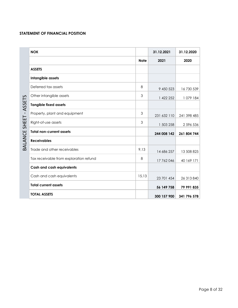#### **STATEMENT OF FINANCIAL POSITION**

| ETS.<br>455       | Intang  |
|-------------------|---------|
|                   | Deferre |
|                   | Other i |
|                   | Tangib  |
|                   | Proper  |
| لبا<br>도<br>도     | Right-c |
| بت<br>UU<br>Z     | Total n |
| ব<br>⊿L<br>⊲<br>⋒ | Receiv  |
|                   | Trade   |
|                   |         |

| <b>NOK</b>                             |             | 31.12.2021  | 31.12.2020  |
|----------------------------------------|-------------|-------------|-------------|
|                                        | <b>Note</b> | 2021        | 2020        |
| <b>ASSETS</b>                          |             |             |             |
| Intangible assets                      |             |             |             |
| Deferred tax assets                    | 8           | 9 450 523   | 16 730 539  |
| Other intangible assets                | 3           | 1 422 252   | 1 079 184   |
| <b>Tangible fixed assets</b>           |             |             |             |
| Property, plant and equipment          | 3           | 231 632 110 | 241 398 485 |
| Right-of-use assets                    | 3           | 1 503 258   | 2 596 536   |
| <b>Total non-current assets</b>        |             | 244 008 142 | 261 804 744 |
| <b>Receivables</b>                     |             |             |             |
| Trade and other receivables            | 9,13        | 14 686 257  | 13 508 825  |
| Tax receivable from exploration refund | 8           | 17 762 046  | 40 169 171  |
| <b>Cash and cash equivalents</b>       |             |             |             |
| Cash and cash equivalents              | 15,13       | 23 701 454  | 26 313 840  |
| <b>Total current assets</b>            |             | 56 149 758  | 79 991 835  |
| <b>TOTAL ASSETS</b>                    |             | 300 157 900 | 341 796 578 |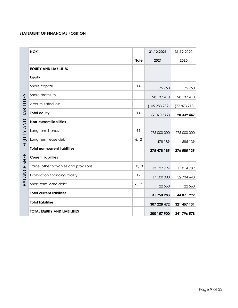# **STATEMENT OF FINANCIAL POSITION**

|                          | <b>EQUITY ANI</b>       |
|--------------------------|-------------------------|
|                          | Equity                  |
|                          | Share capi <sup>-</sup> |
|                          | Share prem              |
|                          | Accumulat               |
| В                        | <b>Total equity</b>     |
|                          | Non-curren              |
|                          | Long term I             |
|                          | Long-term I             |
| ш<br>ı                   | Total non-c             |
| 6<br>щ<br>Ţ              | <b>Current liat</b>     |
| $\overline{S}$<br>ш<br>Ć | Trade, othe             |
|                          | Exploration             |
| മ                        | Short-term I            |
|                          |                         |

| <b>NOK</b>                            |             | 31.12.2021  | 31.12.2020  |
|---------------------------------------|-------------|-------------|-------------|
|                                       | <b>Note</b> | 2021        | 2020        |
| <b>EQUITY AND LIABILITIES</b>         |             |             |             |
| Equity                                |             |             |             |
| Share capital                         | 14          | 75750       | 75750       |
| Share premium                         |             | 98 137 410  | 98 137 410  |
| <b>Accumulated loss</b>               |             | (105283732) | (77873713)  |
| <b>Total equity</b>                   | 14          | (7070572)   | 20 339 447  |
| <b>Non-current liabilities</b>        |             |             |             |
| Long term bonds                       | 11          | 275 000 000 | 275 000 000 |
| Long-term lease debt                  | 6,12        | 478 189     | 1 585 139   |
| <b>Total non-current liabilities</b>  |             | 275 478 189 | 276 585 139 |
| <b>Current liabilities</b>            |             |             |             |
| Trade, other payables and provisions  | 10,13       | 13 127 724  | 11014789    |
| <b>Exploration financing facility</b> | 12          | 17 500 000  | 32 734 643  |
| Short-term lease debt                 | 6,12        | 1 122 560   | 1 122 560   |
| <b>Total current liabilities</b>      |             | 31 750 283  | 44 871 992  |
| <b>Total liabilities</b>              |             | 307 228 472 | 321 457 131 |
| TOTAL EQUITY AND LIABILITIES          |             | 300 157 900 | 341 796 578 |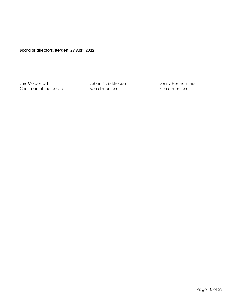**Board of directors, Bergen, 29 April 2022**

Lars Moldestad **Johan Kr. Mikkelsen** Johny Hesthammer Chairman of the board **Board member** Board member **Board member**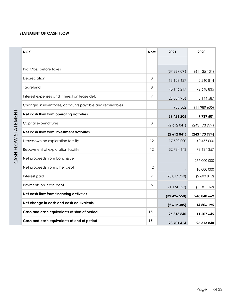# **STATEMENT OF CASH FLOW**

| <b>NOK</b>                                               | <b>Note</b> | 2021        | 2020          |
|----------------------------------------------------------|-------------|-------------|---------------|
|                                                          |             |             |               |
| Profit/loss before taxes                                 |             | (37 869 096 | (61125131)    |
| Depreciation                                             | 3           | 13 128 627  | 2 2 6 0 8 1 4 |
| Tax refund                                               | 8           | 40 146 217  | 72 648 835    |
| Interest expenses and interest on lease debt             | 7           | 23 084 956  | 8 144 587     |
| Changes in inventories, accounts payable and receivables |             | 935 502     | (11989605)    |
| Net cash flow from operating activities                  |             | 39 426 205  | 9 939 501     |
| Capital expenditures                                     | 3           | (2612041)   | (243 173 974) |
| Net cash flow from investment activities                 |             | (2612041)   | (243 173 974) |
| Drawdown on exploration facility                         | 12          | 17 500 000  | 40 457 000    |
| Repayment of exploration facility                        | 12          | $-32734643$ | -73 634 357   |
| Net proceeds from bond issue                             | 11          |             | 275 000 000   |
| Net proceeds from other debt                             | 12          |             | 10 000 000    |
| Interest paid                                            | 7           | (23017750)  | (2,600,812)   |
| Payments on lease debt                                   | 6           | (1174157)   | (1181162)     |
| Net cash flow from financing activities                  |             | (39426550)  | 248 040 669   |
| Net change in cash and cash equivalents                  |             | (2612385)   | 14 806 195    |
| Cash and cash equivalents at start of period             | 15          | 26 313 840  | 11 507 645    |
| Cash and cash equivalents at end of period               | 15          | 23 701 454  | 26 313 840    |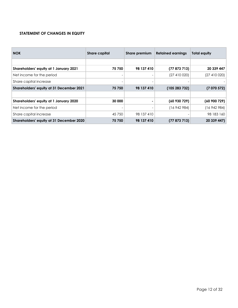#### **STATEMENT OF CHANGES IN EQUITY**

| <b>NOK</b>                               | Share capital            | Share premium | <b>Retained earnings</b> | <b>Total equity</b> |
|------------------------------------------|--------------------------|---------------|--------------------------|---------------------|
|                                          |                          |               |                          |                     |
| Shareholders' equity at 1 January 2021   | 75 750                   | 98 137 410    | (77873713)               | 20 339 447          |
| Net income for the period                | $\qquad \qquad -$        |               | (27410020)               | (27410020)          |
| Share capital increase                   | $\overline{a}$           |               |                          |                     |
| Shareholders' equity at 31 December 2021 | 75 750                   | 98 137 410    | (105283732)              | (7070572)           |
|                                          |                          |               |                          |                     |
| Shareholders' equity at 1 January 2020   | 30 000                   |               | (60930729)               | (60900729)          |
| Net income for the period                | $\overline{\phantom{a}}$ |               | (16942984)               | (16942984)          |
| Share capital increase                   | 45 750                   | 98 137 410    |                          | 98 183 160          |
| Shareholders' equity at 31 December 2020 | 75 750                   | 98 137 410    | (77873713)               | 20 339 447)         |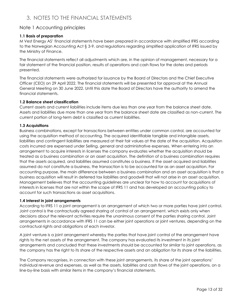# <span id="page-12-0"></span>3. NOTES TO THE FINANCIAL STATEMENTS

# <span id="page-12-1"></span>Note 1 Accounting principles

#### **1.1 Basis of preparation**

M Vest Energy AS' financial statements have been prepared in accordance with simplified IFRS according to the Norwegian Accounting Act § 3-9, and regulations regarding simplified application of IFRS issued by the Ministry of Finance.

The financial statements reflect all adjustments which are, in the opinion of management, necessary for a fair statement of the financial position, results of operations and cash flows for the dates and periods presented.

The financial statements were authorized for issuance by the Board of Directors and the Chief Executive Officer (CEO) on 29 April 2022. The financial statements will be presented for approval at the Annual General Meeting on 30 June 2022. Until this date the Board of Directors have the authority to amend the financial statements.

#### **1.2 Balance sheet classification**

Current assets and current liabilities include items due less than one year from the balance sheet date. Assets and liabilities due more than one year from the balance sheet date are classified as non-current. The current portion of long-term debt is classified as current liabilities.

#### **1.3 Acquisitions**

Business combinations, except for transactions between entities under common control, are accounted for using the acquisition method of accounting. The acquired identifiable tangible and intangible assets, liabilities and contingent liabilities are measured at their fair values at the date of the acquisition. Acquisition costs incurred are expensed under Selling, general and administrative expenses. When entering into an arrangement to acquire interests in licenses the company evaluates whether the acquisition should be treated as a business combination or an asset acquisition. The definition of a business combination requires that the assets acquired, and liabilities assumed constitutes a business. If the asset acquired and liabilities assumed do not constitute a business, the transaction is to be accounted for as an asset acquisition. For accounting purpose, the main difference between a business combination and an asset acquisition is that a business acquisition will result in deferred tax liabilities and goodwill that will not arise in an asset acquisition. Management believes that the accounting guidelines are unclear for how to account for acquisitions of interests in licenses that are not within the scope of IFRS 11 and has developed an accounting policy to account for such transactions as asset acquisitions.

#### **1.4 Interest in joint arrangements**

According to IFRS 11 a joint arrangement is an arrangement of which two or more parties have [joint control.](https://app.dib.no/haandbok/ifrs-blue-book-2020/%7BF0E8E993-0769-4285-8CF0-0726C8A4E749%7D/segment/4d6aa0bd-685a-4201-abf4-ffe8a4e6cbf4#ifrs11_p0081) Joint control is the contractually agreed sharing of control of an arrangement, which exists only when decisions about the relevant activities require the unanimous consent of the parties sharing control. Joint arrangements in accordance with IFRS 11 can be either joint operations or joint ventures, depending on the contractual rights and obligations of each investor.

A joint venture is a joint arrangement whereby the parties that have joint control of the arrangement have rights to the net assets of the arrangement. The company has evaluated its investment in its joint arrangements and concluded that these investments should be accounted for similar to joint operations, as the company has the right to its share of the respective assets and an obligation for its share of the liabilities.

The Company recognises, in connection with these joint arrangements, its share of the joint operations' individual revenue and expenses, as well as the assets, liabilities and cash flows of the joint operations, on a line-by-line basis with similar items in the company's financial statements.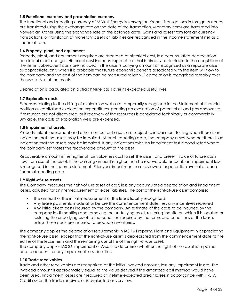#### **1.5 Functional currency and presentation currency**

The functional and reporting currency of M Vest Energy is Norwegian Kroner. Transactions in foreign currency are translated using the exchange rate on the date of the transaction. Monetary items are translated into Norwegian Kroner using the exchange rate of the balance date. Gains and losses from foreign currency transactions, or translation of monetary assets or liabilities are recognised in the income statement net as a financial item.

#### **1.6 Property, plant, and equipment**

Property, plant, and equipment acquired are recorded at historical cost, less accumulated depreciation and impairment charges. Historical cost includes expenditure that is directly attributable to the acquisition of the items. Subsequent costs are included in the asset's carrying amount or recognised as a separate asset, as appropriate, only when it is probable that future economic benefits associated with the item will flow to the company and the cost of the item can be measured reliably. Depreciation is recognised rateably over the useful lives of the assets.

Depreciation is calculated on a straight-line basis over its expected useful lives.

#### **1.7 Exploration costs**

Expenses relating to the drilling of exploration wells are temporarily recognised in the Statement of financial position as capitalised exploration expenditures, pending an evaluation of potential oil and gas discoveries. If resources are not discovered, or if recovery of the resources is considered technically or commercially unviable, the costs of exploration wells are expensed.

#### **1.8 Impairment of assets**

Property, plant, equipment and other non-current assets are subject to impairment testing when there is an indication that the assets may be impaired. At each reporting date, the company assess whether there is an indication that the assets may be impaired. If any indications exist, an impairment test is conducted where the company estimates the recoverable amount of the asset.

Recoverable amount is the higher of fair value less cost to sell the asset, and present value of future cash flow from use of the asset. If the carrying amount is higher than he recoverable amount, an impairment loss is recognised in the income statement. Prior year impairments are reviewed for potential reversal at each financial reporting date.

#### **1.9 Right-of-use assets**

The Company measures the right-of use asset at cost, less any accumulated depreciation and impairment losses, adjusted for any remeasurement of lease liabilities. The cost of the right-of-use asset comprise:

- The amount of the initial measurement of the lease liability recognised
- Any lease payments made at or before the commencement date, less any incentives received
- Any initial direct costs incurred by the company. An estimate of the costs to be incurred by the company in dismantling and removing the underlying asset, restoring the site on which it is located or restoring the underlying asset to the condition required by the terms and conditions of the lease, unless those costs are incurred to produce inventories.

The company applies the depreciation requirements in IAS 16 Property, Plant and Equipment in depreciating the right-of-use asset, except that the right-of-use asset is depreciated from the commencement date to the earlier of the lease term and the remaining useful life of the right-of-use asset.

The company applies IAS 36 Impairment of Assets to determine whether the right-of-use asset is impaired and to account for any impairment loss identified.

#### **1.10 Trade receivables**

Trade and other receivables are recognized at the initial invoiced amount, less any impairment losses. The invoiced amount is approximately equal to the value derived if the amortized cost method would have been used. Impairment losses are measured at lifetime expected credit losses in accordance with IFRS 9. Credit risk on the trade receivables is evaluated as very low.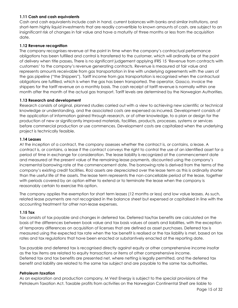#### **1.11 Cash and cash equivalents**

Cash and cash equivalents include cash in hand, current balances with banks and similar institutions, and short-term highly liquid investments that are readily convertible to known amounts of cash, are subject to an insignificant risk of changes in fair value and have a maturity of three months or less from the acquisition date.

#### **1.12 Revenue recognition**

The company recognises revenue at the point in time when the company's contractual performance obligations has been fulfilled and control is transferred to the customer, which will ordinarily be at the point of delivery when title passes**.** There is no significant judgement applying IFRS 15 'Revenue from contracts with customers' to the company's revenue generating contracts. Revenue is measured at fair value and represents amounts receivable from gas transportation in line with underlying agreements with the users of the gas pipeline ("the Shippers"). Tariff income from gas transportation is recognised when the contractual obligations are fulfilled, which is when the gas has been transported. The operator, Gassco, invoice the shippers for the tariff revenue on a monthly basis. The cash receipt of tariff revenue is normally within one month after the month of the actual gas transport. Tariff levels are determined by the Norwegian Authorities.

#### **1.13 Research and development**

Research consists of original, planned studies carried out with a view to achieving new scientific or technical knowledge or understanding, and the associated costs are expensed as incurred. Development consists of the application of information gained through research, or of other knowledge, to a plan or design for the production of new or significantly improved materials, facilities, products, processes, systems or services before commercial production or use commences. Development costs are capitalized when the underlying project is technically feasible.

#### **1.14 Leases**

At the inception of a contract, the company assesses whether the contract is, or contains, a lease. A contract is, or contains, a lease if the contract conveys the right to control the use of an identified asset for a period of time in exchange for consideration. The lease liability is recognized at the commencement date and measured at the present value of the remaining lease payments, discounted using the company's incremental borrowing rate at the commencement date. The borrowing rate is derived from the terms of the company's existing credit facilities. RoU assets are depreciated over the lease term as this is ordinarily shorter than the useful life of the assets. The lease term represents the non-cancellable period of the lease, together with periods covered by an option either to extend or to terminate the lease when the company is reasonably certain to exercise this option.

The company applies the exemption for short term leases (12 months or less) and low value leases. As such, related lease payments are not recognized in the balance sheet but expensed or capitalised in line with the accounting treatment for other non-lease expenses.

#### **1.15 Tax**

Tax consists of tax payable and changes in deferred tax. Deferred tax/tax benefits are calculated on the basis of the differences between book value and tax basis values of assets and liabilities, with the exception of temporary differences on acquisition of licenses that are defined as asset purchases. Deferred tax is measured using the expected tax rate when the tax benefit is realised or the tax liability is met, based on tax rates and tax regulations that have been enacted or substantively enacted at the reporting date.

Tax payable and deferred tax is recognised directly against equity or other comprehensive income insofar as the tax items are related to equity transactions or items of other comprehensive income. Deferred tax and tax benefits are presented net, where netting is legally permitted, and the deferred tax benefit and liability are related to the same tax subject and are payable to the same tax authorities.

#### *Petroleum taxation*

As an exploration and production company, M Vest Energy is subject to the special provisions of the Petroleum Taxation Act. Taxable profits from activities on the Norwegian Continental Shelf are liable to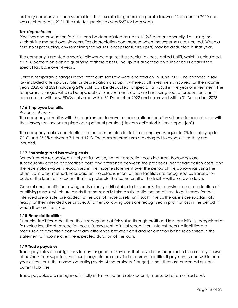ordinary company tax and special tax. The tax rate for general corporate tax was 22 percent in 2020 and was unchanged in 2021. The rate for special tax was 56% for both years.

#### *Tax depreciation*

Pipelines and production facilities can be depreciated by up to 16 2/3 percent annually, i.e., using the straight-line method over six years. Tax depreciation commences when the expenses are incurred. When a field stops producing, any remaining tax values (except for future uplift) may be deducted in that year.

The company is granted a special allowance against the special tax base called Uplift, which is calculated as 20.8 percent on existing qualifying offshore assets. The Uplift is allocated on a linear basis against the special tax base over 4 years.

Certain temporary changes in the Petroleum Tax Law were enacted on 19 June 2020. The changes in tax law included a temporary rule for depreciation and uplift, whereby all investments incurred for the income years 2020 and 2021including 24% uplift can be deducted for special tax (56%) in the year of investment. The temporary changes will also be applicable for investments up to and including year of production start in accordance with new PDOs delivered within 31 December 2022 and approved within 31 December 2023.

#### **1.16 Employee benefits**

#### *Pension schemes*

The company complies with the requirement to have an occupational pension scheme in accordance with the Norwegian law on required occupational pension ("lov om obligatorisk tjenestepensjon").

The company makes contributions to the pension plan for full-time employees equal to 7% for salary up to 7.1 G and 25.1% between 7.1 and 12 G. The pension premiums are charged to expenses as they are incurred.

#### **1.17 Borrowings and borrowing costs**

Borrowings are recognised initially at fair value, net of transaction costs incurred. Borrowings are subsequently carried at amortised cost; any difference between the proceeds (net of transaction costs) and the redemption value is recognised in the income statement over the period of the borrowings using the effective interest method. Fees paid on the establishment of loan facilities are recognised as transaction costs of the loan to the extent that it is probable that some or all of the facility will be drawn down.

General and specific borrowing costs directly attributable to the acquisition, construction or production of qualifying assets, which are assets that necessarily take a substantial period of time to get ready for their intended use or sale, are added to the cost of those assets, until such time as the assets are substantially ready for their intended use or sale. All other borrowing costs are recognised in profit or loss in the period in which they are incurred.

#### **1.18 Financial liabilities**

Financial liabilities, other than those recognised at fair value through profit and loss, are initially recognised at fair value less direct transaction costs. Subsequent to initial recognition, interest-bearing liabilities are measured at amortised cost with any difference between cost and redemption being recognised in the statement of income over the expected duration of the loan.

#### **1.19 Trade payables**

Trade payables are obligations to pay for goods or services that have been acquired in the ordinary course of business from suppliers. Accounts payable are classified as current liabilities if payment is due within one year or less (or in the normal operating cycle of the business if longer). If not, they are presented as noncurrent liabilities.

Trade payables are recognised initially at fair value and subsequently measured at amortised cost.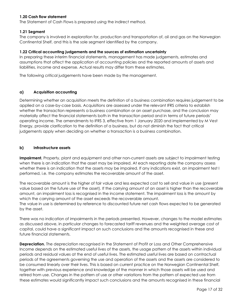#### **1.20 Cash flow statement**

The Statement of Cash Flows is prepared using the indirect method.

#### **1.21 Segment**

The company is involved in exploration for, production and transportation of, oil and gas on the Norwegian Continental Shelf, and this is the sole segment identified by the company.

#### **1.22 Critical accounting judgements and the sources of estimation uncertainty**

In preparing these interim financial statements, management has made judgements, estimates and assumptions that affect the application of accounting policies and the reported amounts of assets and liabilities, income and expense. Actual results may differ from these estimates.

The following critical judgements have been made by the management.

#### **a) Acquisition accounting**

Determining whether an acquisition meets the definition of a business combination requires judgement to be applied on a case-by-case basis. Acquisitions are assessed under the relevant IFRS criteria to establish whether the transaction represents a business combination or an asset purchase, and the conclusion may materially affect the financial statements both in the transaction period and in terms of future periods' operating income. The amendments to IFRS 3, effective from 1 January 2020 and implemented by M Vest Energy, provide clarification to the definition of a business, but do not diminish the fact that critical judgements apply when deciding on whether a transaction is a business combination.

#### **b) Infrastructure assets**

**Impairment.** Property, plant and equipment and other non-current assets are subject to impairment testing when there is an indication that the asset may be impaired. At each reporting date the company assess whether there is an indication that the assets may be impaired. If any indications exist, an impairment test I performed, i.e. the company estimates the recoverable amount of the asset.

The recoverable amount is the higher of fair value and less expected cost to sell and value in use (present value based on the future use of the asset). If the carrying amount of an asset is higher than the recoverable amount, an impairment loss is recognised in the income statement. The impairment loss is the amount by which the carrying amount of the asset exceeds the recoverable amount. The value in use is determined by reference to discounted future net cash flows expected to be generated

by the asset.

There was no indication of impairments in the periods presented. However, changes to the model estimates as discussed above, in particular changes to forecasted tariff revenues and the weighted average cost of capital, could have a significant impact on such conclusions and the amounts recognised in these and future financial statements.

**Depreciation.** The depreciation recognised in the Statement of Profit or Loss and Other Comprehensive Income depends on the estimated useful lives of the assets, the usage pattern of the assets within individual periods and residual values at the end of useful lives. The estimated useful lives are based on contractual periods of the agreements governing the use and operation of the assets and the assets are considered to be consumed linearly over their lives. This is based on current practice on the Norwegian Continental Shelf, together with previous experience and knowledge of the manner in which those assets will be used and retired from use. Changes in the pattern of use or other variations from the pattern of expected use from these estimates would significantly impact such conclusions and the amounts recognised in these financial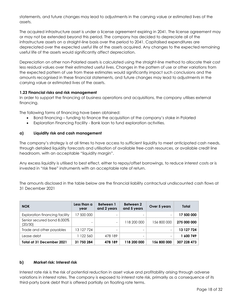statements, and future changes may lead to adjustments in the carrying value or estimated lives of the assets.

The acquired infrastructure asset is under a license agreement expiring in 2041. The license agreement may or may not be extended beyond this period. The company has decided to depreciate all of the infrastructure assets on a straight-line basis over the period to 2041. Capitalised expenditures are depreciated over the expected useful life of the assets acquired. Any changes to the expected remaining useful life of the assets would significantly affect depreciation.

Depreciation on other non-Polarled assets is calculated using the straight-line method to allocate their cost less residual values over their estimated useful lives. Changes in the pattern of use or other variations from the expected pattern of use from these estimates would significantly impact such conclusions and the amounts recognised in these financial statements, and future changes may lead to adjustments in the carrying value or estimated lives of the assets.

#### **1.23 Financial risks and risk management**

In order to support the financing of business operations and acquisitions, the company utilises external financing.

The following forms of financing have been obtained:

- Bond financing funding to finance the acquisition of the company's stake in Polarled
- Exploration Financing Facility Bank loan to fund exploration activities.

#### **a) Liquidity risk and cash management**

The company's strategy is at all times to have access to sufficient liquidity to meet anticipated cash needs, through detailed liquidity forecasts and utilisation of available free-cash resources, or available credit line headroom, with an acceptable "liquidity margin".

Any excess liquidity is utilised to best effect, either to repay/offset borrowings, to reduce interest costs or is invested in "risk free" instruments with an acceptable rate of return.

The amounts disclosed in the table below are the financial liability contractual undiscounted cash flows at 31 December 2021

| <b>NOK</b>                            | Less than a<br>year | Between 1<br>and 2 years | <b>Between 2</b><br>and 5 years | Over 5 years             | Total       |
|---------------------------------------|---------------------|--------------------------|---------------------------------|--------------------------|-------------|
| Exploration financing facility        | 17 500 000          | $\overline{\phantom{0}}$ |                                 | $\overline{\phantom{0}}$ | 17 500 000  |
| Senior secured bond 8,000%<br>(20/30) | -                   | $\overline{\phantom{a}}$ | 118 200 000                     | 156 800 000              | 275 000 000 |
| Trade and other payables              | 13 127 724          | $\overline{\phantom{0}}$ |                                 | $\overline{\phantom{a}}$ | 13 127 724  |
| Lease debt                            | 122 560             | 478 189                  |                                 | $\overline{\phantom{0}}$ | 1 600 749   |
| Total at 31 December 2021             | 31 750 284          | 478 189                  | 118 200 000                     | 156 800 000              | 307 228 473 |

#### **b) Market risk: Interest risk**

Interest rate risk is the risk of potential reduction in asset value and profitability arising through adverse variations in interest rates. The company is exposed to interest rate risk, primarily as a consequence of its third-party bank debt that is offered partially on floating rate terms.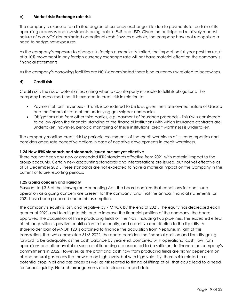#### **c) Market risk: Exchange rate risk**

The company is exposed to a limited degree of currency exchange risk, due to payments for certain of its operating expenses and investments being paid in EUR and USD. Given the anticipated relatively modest nature of non-NOK denominated operational cash flows as a whole, the company have not recognised a need to hedge net-exposures.

As the company's exposure to changes in foreign currencies is limited, the impact on full year post tax result of a 10% movement in any foreign currency exchange rate will not have material effect on the company's financial statements.

As the company's borrowing facilities are NOK-denominated there is no currency risk related to borrowings.

#### **d) Credit risk**

Credit risk is the risk of potential loss arising when a counterparty is unable to fulfil its obligations. The company has assessed that it is exposed to credit risk in relation to:

- Payment of tariff revenues This risk is considered to be low, given the state-owned nature of Gassco and the financial status of the underlying gas shipper companies.
- Obligations due from other third parties, e.g. payment of insurance proceeds This risk is considered to be low given the financial standing of the financial institutions with which insurance contracts are undertaken, however, periodic monitoring of these institutions' credit worthiness is undertaken.

The company monitors credit risk by periodic assessments of the credit worthiness of its counterparties and considers adequate corrective actions in case of negative developments in credit worthiness.

#### **1.24 New IFRS standards and standards issued but not yet effective**

There has not been any new or amended IFRS standards effective from 2021 with material impact to the group accounts. Certain new accounting standards and interpretations are issued, but not yet effective as of 31 December 2021. These standards are not expected to have a material impact on the Company in the current or future reporting periods.

#### **1.25 Going concern and liquidity**

Pursuant to §3-3 of the Norwegian Accounting Act, the board confirms that conditions for continued operation as a going concern are present for the company, and that the annual financial statements for 2021 have been prepared under this assumption.

The company's equity is lost, and negative by 7 MNOK by the end of 2021. The equity has decreased each quarter of 2021, and to mitigate this, and to improve the financial position of the company, the board approved the acquisition of three producing fields on the NCS, including two pipelines. The expected effect of this acquisition is positive contribution to the equity, and a positive contribution to the liquidity. A shareholder loan of MNOK 120 is obtained to finance the acquisition from Neptune. In light of this transaction, that was completed 31/3-2022, the board considers the financial position and liquidity going forward to be adequate, as the cash balance by year end, combined with operational cash flow from operations and other available sources of financing are expected to be sufficient to finance the company's commitments in 2022. However, as the profit and cash flow from producing fields are highly dependent on oil and natural gas prices that now are on high levels, but with high volatility, there is risk related to a potential drop in oil and gas prices as well as risk related to timing of liftings of oil, that could lead to a need for further liquidity. No such arrangements are in place at report date.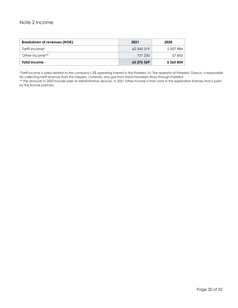# <span id="page-19-0"></span>Note 2 Income

| Breakdown of revenues (NOK) | 2021       | 2020      |
|-----------------------------|------------|-----------|
| Tariff income*              | 62 545 319 | 5 507 984 |
| Other income**              | 731 250    | 57 850    |
| Total income                | 63 276 569 | 5 565 834 |

\*Tariff income is solely related to the company's 5% operating interest in the Polarled JV. The operator of Polarled, Gassco, is responsible for collecting tariff revenue from the shippers. Currently, only gas from Aasta Hansteen flows through Polarled.

\*\* The amounts in 2020 include sales of administrative services. In 2021 Other income is from work in the exploration licenses that is paid by the license partners.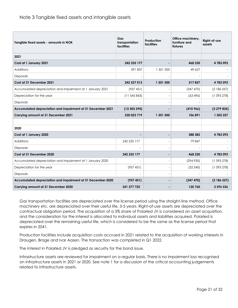# <span id="page-20-0"></span>Note 3 Tangible fixed assets and intangible assets

| Tangible fixed assets - amounts in NOK                      | Gas<br>transportation<br>facilities | Production<br>facilities | Office machinery,<br>furniture and<br>fixtures | Right-of-use<br>assets |
|-------------------------------------------------------------|-------------------------------------|--------------------------|------------------------------------------------|------------------------|
| 2021                                                        |                                     |                          |                                                |                        |
| Cost at 1 January 2021                                      | 242 235 177                         |                          | 468 230                                        | 4783093                |
| Additions                                                   | 291837                              | 1 501 500                | 49 627                                         |                        |
| Disposals                                                   |                                     |                          |                                                |                        |
| Cost at 31 December 2021                                    | 242 527 013                         | 1 501 500                | 517857                                         | 4783093                |
| Accumulated depreciation and impairment at 1 January 2021   | (957451)                            |                          | (347 470)                                      | (2186557)              |
| Depreciation for the year                                   | (11545843)                          |                          | (63, 496)                                      | (1093278)              |
| Disposals                                                   |                                     |                          |                                                |                        |
| Accumulated depreciation and impairment at 31 December 2021 | (12503294)                          |                          | (410966)                                       | (3279835)              |
| Carrying amount at 31 December 2021                         | 230 023 719                         | 1 501 500                | 106 891                                        | 1 503 257              |
|                                                             |                                     |                          |                                                |                        |
| 2020                                                        |                                     |                          |                                                |                        |
| Cost at 1 January 2020                                      |                                     | ٠                        | 388 383                                        | 4783093                |
| Additions                                                   | 242 235 177                         |                          | 79 847                                         |                        |
| <b>Disposals</b>                                            |                                     | $\overline{a}$           |                                                |                        |
| Cost at 31 December 2020                                    | 242 235 177                         |                          | 468 230                                        | 4783093                |
| Accumulated depreciation and impairment at 1 January 2020   |                                     |                          | (294930)                                       | (1093278)              |
| Depreciation for the year                                   | (957451)                            |                          | (52, 540)                                      | (1093278)              |
| <b>Disposals</b>                                            |                                     |                          |                                                |                        |
| Accumulated depreciation and impairment at 31 December 2020 | (957451)                            |                          | (347 470)                                      | (2186557)              |
| Carrying amount at 31 December 2020                         | 241 277 725                         |                          | 120 760                                        | 2 596 536              |

Gas transportation facilities are depreciated over the license period using the straight-line method. Office machinery etc. are depreciated over their useful life, 3-5 years. Right-of-use assets are depreciated over the contractual obligation period. The acquisition of a 5% share of Polarled JV is considered an asset acquisition, and the consideration for the interest is allocated to individual assets and liabilities acquired. Polarled is depreciated over the remaining useful life, which is considered to be the same as the license period that expires in 2041.

Production facilities include acquisition costs accrued in 2021 related to the acquisition of working interests in Draugen, Brage and Ivar Aasen. The transaction was completed in Q1 2022.

The interest in Polarled JV is pledged as security for the bond issue.

Infrastructure assets are reviewed for impairment on a regular basis. There is no impairment loss recognised on infrastructure assets in 2021 or 2020. See note 1 for a discussion of the critical accounting judgements related to infrastructure assets.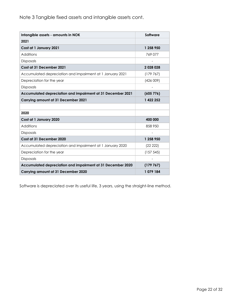<span id="page-21-0"></span>Note 3 Tangible fixed assets and intangible assets cont.

| Intangible assets - amounts in NOK                          | <b>Software</b>          |
|-------------------------------------------------------------|--------------------------|
| 2021                                                        |                          |
| Cost at 1 January 2021                                      | 1 258 950                |
| Additions                                                   | 769 077                  |
| <b>Disposals</b>                                            |                          |
| Cost at 31 December 2021                                    | 2 0 28 0 28              |
| Accumulated depreciation and impairment at 1 January 2021   | (179767)                 |
| Depreciation for the year                                   | (426009)                 |
| <b>Disposals</b>                                            |                          |
| Accumulated depreciation and impairment at 31 December 2021 | (605776)                 |
| Carrying amount at 31 December 2021                         | 1 422 252                |
|                                                             |                          |
| 2020                                                        |                          |
| Cost at 1 January 2020                                      | 400 000                  |
| Additions                                                   | 858 950                  |
| <b>Disposals</b>                                            | $\overline{\phantom{a}}$ |
| Cost at 31 December 2020                                    | 1 258 950                |
| Accumulated depreciation and impairment at 1 January 2020   | (22 222)                 |
| Depreciation for the year                                   | (157545)                 |
| Disposals                                                   |                          |
| Accumulated depreciation and impairment at 31 December 2020 | (179767)                 |
| Carrying amount at 31 December 2020                         | 1079 184                 |

Software is depreciated over its useful life, 3 years, using the straight-line method.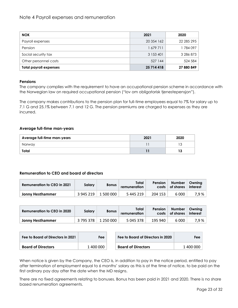<span id="page-22-0"></span>

| <b>NOK</b>                    | 2021       | 2020       |
|-------------------------------|------------|------------|
| Payroll expenses              | 20 354 162 | 22 285 295 |
| Pension                       | 1679711    | 1784097    |
| Social security tax           | 3 153 401  | 3 286 873  |
| Other personnel costs         | 527 144    | 524 584    |
| <b>Total payroll expenses</b> | 25 714 418 | 27 880 849 |

#### **Pensions**

The company complies with the requirement to have an occupational pension scheme in accordance with the Norwegian law on required occupational pension ("lov om obligatorisk tjenestepensjon").

The company makes contributions to the pension plan for full-time employees equal to 7% for salary up to 7.1 G and 25.1% between 7.1 and 12 G. The pension premiums are charged to expenses as they are incurred.

#### **Average full-time man-years**

| Average full-time man-years | 2021 | 2020 |
|-----------------------------|------|------|
| Norway                      |      |      |
| Total                       |      | 13   |

#### **Remuneration to CEO and board of directors**

| <b>Remuneration to CEO in 2021</b> | Salary    | <b>Bonus</b> | Total<br>remuneration | <b>Pension</b> | Number   Owning<br>costs   of shares | interest |
|------------------------------------|-----------|--------------|-----------------------|----------------|--------------------------------------|----------|
| Jonny Hesthammer                   | 3 945 219 | 1 500 000    | 5 445 219             | 204 153        | 6 0 0 0                              | 7,9%     |

| <b>Remuneration to CEO in 2020</b> | Salary    | <b>Bonus</b> | Total<br>remuneration | <b>Pension</b> | Number   Owning<br>costs of shares | interest |
|------------------------------------|-----------|--------------|-----------------------|----------------|------------------------------------|----------|
| Jonny Hesthammer                   | 3 795 378 | 1 250 000    | 5 045 378             | 195 940        | 6 000                              | 7,9 %    |

| Fee to Board of Directors in 2021 | Fee       | Fee to Board of Directors in 2020 | Fee l     |
|-----------------------------------|-----------|-----------------------------------|-----------|
| <b>Board of Directors</b>         | 1 400 000 | <b>Board of Directors</b>         | 1 400 000 |

When notice is given by the Company, the CEO is, in addition to pay in the notice period, entitled to pay after termination of employment equal to 6 months' salary as this is at the time of notice, to be paid on the first ordinary pay day after the date when the MD resigns.

There are no fixed agreements relating to bonuses. Bonus has been paid in 2021 and 2020. There is no share based renumeration agreements.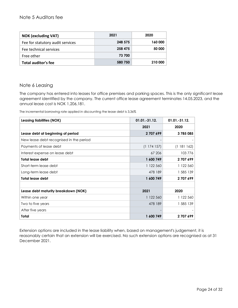## <span id="page-23-0"></span>Note 5 Auditors fee

| <b>NOK (excluding VAT)</b>       | 2021    | 2020    |
|----------------------------------|---------|---------|
| Fee for statutory audit services | 248 575 | 160 000 |
| Fee technical services           | 258 475 | 50 000  |
| Free other                       | 73 700  |         |
| Total auditor's fee              | 580 750 | 210 000 |

# <span id="page-23-1"></span>Note 6 Leasing

The company has entered into leases for office premises and parking spaces. This is the only significant lease agreement identified by the company. The current office lease agreement terminates 14.05.2023, and the annual lease cost is NOK 1,206,181.

The incremental borrowing rate applied in discounting the lease debt is 3,36%

| <b>Leasing liabilities (NOK)</b>        | $01.01.-31.12.$ | $01.01.-31.12.$ |
|-----------------------------------------|-----------------|-----------------|
|                                         | 2021            | 2020            |
| Lease debt at beginning of period       | 2707699         | 3785085         |
| New lease debt recognised in the period |                 |                 |
| Payments of lease debt                  | (1174157)       | (1181162)       |
| Interest expense on lease debt          | 67 206          | 103776          |
| <b>Total lease debt</b>                 | 1 600 749       | 2707699         |
| Short-term lease debt                   | 1 122 560       | 1 122 560       |
| Long-term lease debt                    | 478 189         | 1 585 139       |
| <b>Total lease debt</b>                 | 1 600 749       | 2707699         |
|                                         |                 |                 |
| Lease debt maturity breakdown (NOK)     | 2021            | 2020            |
| Within one year                         | 1 122 560       | 1 122 560       |
| Two to five years                       | 478 189         | 1 585 139       |
| After five years                        |                 |                 |
| Total                                   | 1 600 749       | 2707699         |

Extension options are included in the lease liability when, based on management's judgement, it is reasonably certain that an extension will be exercised. No such extension options are recognised as at 31 December 2021.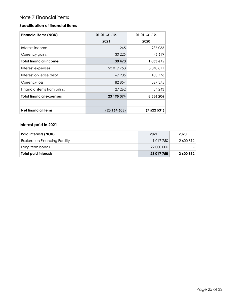# <span id="page-24-0"></span>Note 7 Financial items

## **Specification of financial items**

| <b>Financial items (NOK)</b>    | $01.01.-31.12.$ | 01.01.-31.12. |
|---------------------------------|-----------------|---------------|
|                                 | 2021            | 2020          |
| Interest income                 | 245             | 987 055       |
| Currency gains                  | 30 2 25         | 46 619        |
| <b>Total financial income</b>   | 30 470          | 1 033 675     |
| Interest expenses               | 23 017 750      | 8 040 811     |
| Interest on lease debt          | 67 206          | 103776        |
| Currency loss                   | 82857           | 327 375       |
| Financial items from billing    | 27 262          | 84 243        |
| <b>Total financial expenses</b> | 23 195 074      | 8 556 206     |
|                                 |                 |               |
| <b>Net financial items</b>      | (23164605)      | (7 522 531)   |

# **Interest paid in 2021**

| Paid interests (NOK)                  | 2021       | 2020      |
|---------------------------------------|------------|-----------|
| <b>Exploration Financing Facility</b> | 1 017 750  | 2600812   |
| Long term bonds                       | 22 000 000 |           |
| <b>Total paid interests</b>           | 23 017 750 | 2 600 812 |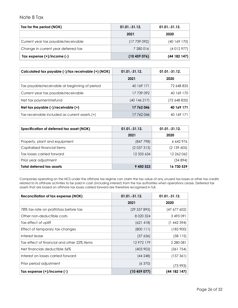#### <span id="page-25-0"></span>Note 8 Tax

| Tax for the period (NOK)            | $01.01.-31.12.$ | $01.01.-31.12.$ |
|-------------------------------------|-----------------|-----------------|
|                                     | 2021            | 2020            |
| Current year tax payable/receivable | (17739092)      | (40 169 170)    |
| Change in current year deferred tax | 7 280 016       | (4012977)       |
| Tax expense $(+)/$ income $(-)$     | (10459076)      | (44 182 147)    |

| Calculated tax payable (-)/tax receivable (+) (NOK) | $01.01 - 31.12$ . | $01.01 - 31.12$ . |
|-----------------------------------------------------|-------------------|-------------------|
|                                                     | 2021              | 2020              |
| Tax payable/receivable at beginning of period       | 40 169 171        | 72 648 835        |
| Current year tax payable/receivable                 | 17 739 092        | 40 169 170        |
| Net tax payment/refund                              | (40 146 217)      | (72 648 835)      |
| Net tax payable (-)/receivable (+)                  | 17 762 046        | 40 169 171        |
| Tax receivable included as current assets (+)       | 17 762 046        | 40 169 171        |

| Specification of deferred tax asset (NOK) | $01.01.-31.12.$ | $01.01 - 31.12$ . |
|-------------------------------------------|-----------------|-------------------|
|                                           | 2021            | 2020              |
| Property, plant and equipment             | (847 798)       | 6642976           |
| Capitalised financial items               | (2037313)       | (2139605)         |
| Tax losses carried forward                | 12 335 634      | 12 262 062        |
| Prior year adjustment                     |                 | (34894)           |
| <b>Total deferred tax assets</b>          | 9 450 523       | 16 730 539        |

Companies operating on the NCS under the offshore tax regime can claim the tax value of any unused tax losses or other tax credits related to its offshore activities to be paid in cash (including interest) from the tax authorities when operations cease. Deferred tax assets that are based on offshore tax losses carried forward are therefore recognised in full.

| <b>Reconciliation of tax expense (NOK)</b>  | $01.01.-31.12.$ | 01.01.-31.12. |
|---------------------------------------------|-----------------|---------------|
|                                             | 2021            | 2020          |
| 78% tax rate on profit/loss before tax      | (29 537 895)    | (47 677 602)  |
| Other non-deductible costs                  | 8 0 20 3 24     | 3 493 091     |
| Tax effect of uplift                        | (621418)        | (1442594)     |
| Effect of temporary tax changes             | (800111)        | (183900)      |
| Interest lease                              | (37 636)        | (58115)       |
| Tax effect of financial and other 22% items | 12972179        | 2 280 081     |
| Net financials deductible 56%               | (403902)        | (361754)      |
| Interest on losses carried forward          | (44248)         | (157361)      |
| Prior period adjustment                     | (6370)          | (73993)       |
| Tax expense $(+)/$ income $(-)$             | (10459077)      | (44182147)    |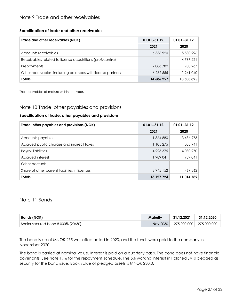#### <span id="page-26-0"></span>**Specification of trade and other receivables**

| Trade and other receivables (NOK)                           | $01.01 - 31.12$ . | $01.01.-31.12.$ |
|-------------------------------------------------------------|-------------------|-----------------|
|                                                             | 2021              | 2020            |
| Accounts receivables                                        | 6 336 920         | 5 580 296       |
| Receivables related to license acquisitions (pro&contra)    |                   | 4 787 221       |
| Prepayments                                                 | 2086782           | 1 900 267       |
| Other receivables, including balances with license partners | 6 262 555         | 1 241 040       |
| <b>Totals</b>                                               | 14 686 257        | 13 508 825      |

The receivables all mature within one year.

## <span id="page-26-1"></span>Note 10 Trade, other payables and provisions

#### **Specification of trade, other payables and provisions**

| Trade, other payables and provisions (NOK)     | $01.01 - 31.12$ . | $01.01.-31.12.$ |
|------------------------------------------------|-------------------|-----------------|
|                                                | 2021              | 2020            |
| Accounts payable                               | 1 864 880         | 3 486 975       |
| Accrued public charges and indirect taxes      | 1 105 275         | 1038941         |
| Payroll liabilities                            | 4 2 2 3 3 7 5     | 4 0 30 2 70     |
| Accrued interest                               | 1989041           | 1989041         |
| Other accruals                                 |                   |                 |
| Share of other current liabilities in licenses | 3 945 152         | 469 562         |
| <b>Totals</b>                                  | 13 127 724        | 11 014 789      |

#### <span id="page-26-2"></span>Note 11 Bonds

| <b>Bonds (NOK)</b>                 | Maturity | 31.12.2021 | 31.12.2020              |
|------------------------------------|----------|------------|-------------------------|
| Senior secured bond 8.000% (20/30) | Nov 2030 |            | 275 000 000 275 000 000 |

The bond issue of MNOK 275 was effectuated in 2020, and the funds were paid to the company in November 2020.

The bond is carried at nominal value. Interest is paid on a quarterly basis. The bond does not have financial covenants. See note 1.16 for the repayment schedule. The 5% working interest in Polarled JV is pledged as security for the bond issue. Book value of pledged assets is MNOK 230.0.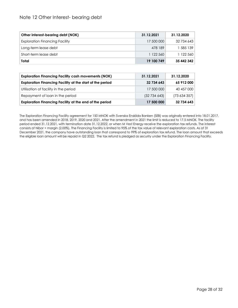# <span id="page-27-0"></span>Note 12 Other Interest- bearing debt

| Other interest-bearing debt (NOK)     | 31.12.2021 | 31.12.2020 |
|---------------------------------------|------------|------------|
| <b>Exploration Financing Facility</b> | 17 500 000 | 32 734 643 |
| Long-term lease debt                  | 478 189    | 585 139    |
| Short-term lease debt                 | 1 122 560  | 1 122 560  |
| Total                                 | 19 100 749 | 35 442 342 |

| <b>Exploration Financing Facility cash movements (NOK)</b> | 31.12.2021 | 31.12.2020 |
|------------------------------------------------------------|------------|------------|
| Exploration Financing Facility at the start of the period  | 32 734 643 | 65 912 000 |
| Utilisation of facility in the period                      | 17 500 000 | 40 457 000 |
| Repayment of loan in the period                            | (32734643) | (73634357) |
| Exploration Financing Facility at the end of the period    | 17 500 000 | 32 734 643 |

The Exploration Financing Facility agreement for 150 MNOK with Svenska Enskilda Banken (SEB) was originally entered into 18.01.2017, and has been amended in 2018, 2019, 2020 and 2021. After the amendment in 2021 the limit is reduced to 17.5 MNOK. The facility period ended 31.12.2021, with termination date 31.12.2022, or when M Vest Energy receive the exploration tax refunds. The interest consists of Nibor + margin (2.00%). The Financing Facility is limited to 95% of the tax value of relevant exploration costs. As of 31 December 2021, the company have outstanding loan that correspond to 99% of exploration tax refund. The loan amount that exceeds the eligible loan amount will be repaid in Q2 2022. The tax refund is pledged as security under the Exploration Financing Facility.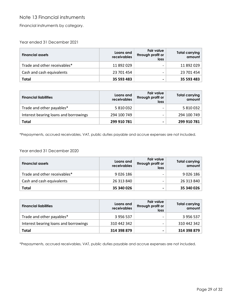# <span id="page-28-0"></span>Note 13 Financial instruments

Financial instruments by category.

Year ended 31 December 2021

| <b>Financial assets</b>      | Loans and<br>receivables | <b>Fair value</b><br>through profit or<br>loss | <b>Total carrying</b><br>amount |
|------------------------------|--------------------------|------------------------------------------------|---------------------------------|
| Trade and other receivables* | 11 892 029               | $\overline{\phantom{0}}$                       | 11 892 029                      |
| Cash and cash equivalents    | 23 701 454               |                                                | 23 701 454                      |
| Total                        | 35 593 483               | -                                              | 35 593 483                      |

| <b>Financial liabilities</b>          | Loans and<br>receivables | <b>Fair value</b><br>through profit or<br>loss | Total carrying<br>amount |
|---------------------------------------|--------------------------|------------------------------------------------|--------------------------|
| Trade and other payables*             | 5 810 032                |                                                | 5 810 032                |
| Interest bearing loans and borrowings | 294 100 749              | $\overline{\phantom{0}}$                       | 294 100 749              |
| Total                                 | 299 910 781              |                                                | 299 910 781              |

\*Prepayments, accrued receivables, VAT, public duties payable and accrue expenses are not included.

Year ended 31 December 2020

| <b>Financial assets</b>      | Loans and<br>receivables | <b>Fair value</b><br>through profit or<br>loss | Total carrying<br>amount |
|------------------------------|--------------------------|------------------------------------------------|--------------------------|
| Trade and other receivables* | 9 0 26 186               |                                                | 9 0 26 186               |
| Cash and cash equivalents    | 26 313 840               |                                                | 26 313 840               |
| <b>Total</b>                 | 35 340 026               | ۰                                              | 35 340 026               |

| <b>Financial liabilities</b>          | Loans and<br>receivables | <b>Fair value</b><br>through profit or<br>loss | <b>Total carrying</b><br>amount |
|---------------------------------------|--------------------------|------------------------------------------------|---------------------------------|
| Trade and other payables*             | 3 956 537                |                                                | 3 956 537                       |
| Interest bearing loans and borrowings | 310 442 342              |                                                | 310 442 342                     |
| Total                                 | 314 398 879              | -                                              | 314 398 879                     |

\*Prepayments, accrued receivables, VAT, public duties payable and accrue expenses are not included.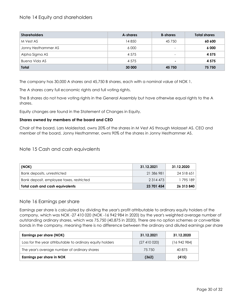# <span id="page-29-0"></span>Note 14 Equity and shareholders

| <b>Shareholders</b> | A-shares | <b>B-shares</b> | <b>Total shares</b> |
|---------------------|----------|-----------------|---------------------|
| M Vest AS           | 14850    | 45 750          | 60 600              |
| Jonny Hesthammer AS | 6 0 0 0  | -               | 6 0 0 0             |
| Alpha Sigma AS      | 4 5 7 5  | -               | 4 5 7 5             |
| Buena Vida AS       | 4 5 7 5  | $\blacksquare$  | 4 5 7 5             |
| <b>Total</b>        | 30 000   | 45 750          | 75 750              |

The company has 30,000 A shares and 45,750 B shares, each with a nominal value of NOK 1.

The A shares carry full economic rights and full voting rights.

The B shares do not have voting rights in the General Assembly but have otherwise equal rights to the A shares.

Equity changes are found in the Statement of Changes in Equity.

#### **Shares owned by members of the board and CEO**

Chair of the board, Lars Moldestad, owns 20% of the shares in M Vest AS through Molasset AS. CEO and member of the board, Jonny Hesthammer, owns 90% of the shares in Jonny Hesthammer AS.

#### <span id="page-29-1"></span>Note 15 Cash and cash equivalents

| (NOK)                                    | 31.12.2021    | 31.12.2020 |
|------------------------------------------|---------------|------------|
| Bank deposits, unrestricted              | 21 386 981    | 24 518 651 |
| Bank deposit, employee taxes, restricted | 2 3 1 4 4 7 3 | 1 795 189  |
| <b>Total cash and cash equivalents</b>   | 23 701 454    | 26 313 840 |

#### <span id="page-29-2"></span>Note 16 Earnings per share

Earnings per share is calculated by dividing the year's profit attributable to ordinary equity holders of the company, which was NOK -27 410 020 (NOK -16 942 984 in 2020) by the year's weighted average number of outstanding ordinary shares, which was 75,750 (40,875 in 2020). There are no option schemes or convertible bonds in the company, meaning there is no difference between the ordinary and diluted earnings per share

| <b>Earnings per share (NOK)</b>                           | 31.12.2021     | 31.12.2020 |
|-----------------------------------------------------------|----------------|------------|
| Loss for the year attributable to ordinary equity holders | (27, 410, 020) | (16942984) |
| The year's average number of ordinary shares              | 75 750         | 40 875     |
| Earnings per share in NOK                                 | (362)          | (415)      |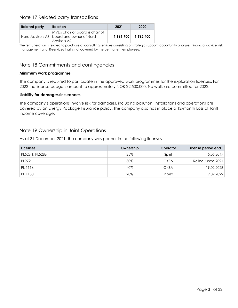# <span id="page-30-0"></span>Note 17 Related party transactions

| <b>Related party</b> | <b>Relation</b>                                                                               | 2021    | 2020      |
|----------------------|-----------------------------------------------------------------------------------------------|---------|-----------|
|                      | MVE's chair of board is chair of<br>Nord Advisors AS   board and owner of Nord<br>Advisors AS | 1961700 | 1 562 400 |

The remuneration is related to purchase of consulting services consisting of strategic support, opportunity analyses, financial advice, risk management and IR-services that is not covered by the permanent employees.

# <span id="page-30-1"></span>Note 18 Commitments and contingencies

#### **Minimum work programme**

The company is required to participate in the approved work programmes for the exploration licenses. For 2022 the license budgets amount to approximately NOK 22,500,000. No wells are committed for 2022.

#### **Liability for damages/insurances**

The company's operations involve risk for damages, including pollution. Installations and operations are covered by an Energy Package Insurance policy. The company also has in place a 12-month Loss of Tariff Income coverage.

## <span id="page-30-2"></span>Note 19 Ownership in Joint Operations

As at 31 December 2021, the company was partner in the following licenses:

<span id="page-30-3"></span>

| <b>Licenses</b> | Ownership | Operator     | License period end |
|-----------------|-----------|--------------|--------------------|
| PL528 & PL528B  | 25%       | Spirit       | 15.05.2047         |
| PL972           | 30%       | <b>OKEA</b>  | Relinquished 2021  |
| PL 1116         | 40%       | <b>OKEA</b>  | 19.02.2028         |
| PL 1130         | 20%       | <i>Inpex</i> | 19.02.2029         |